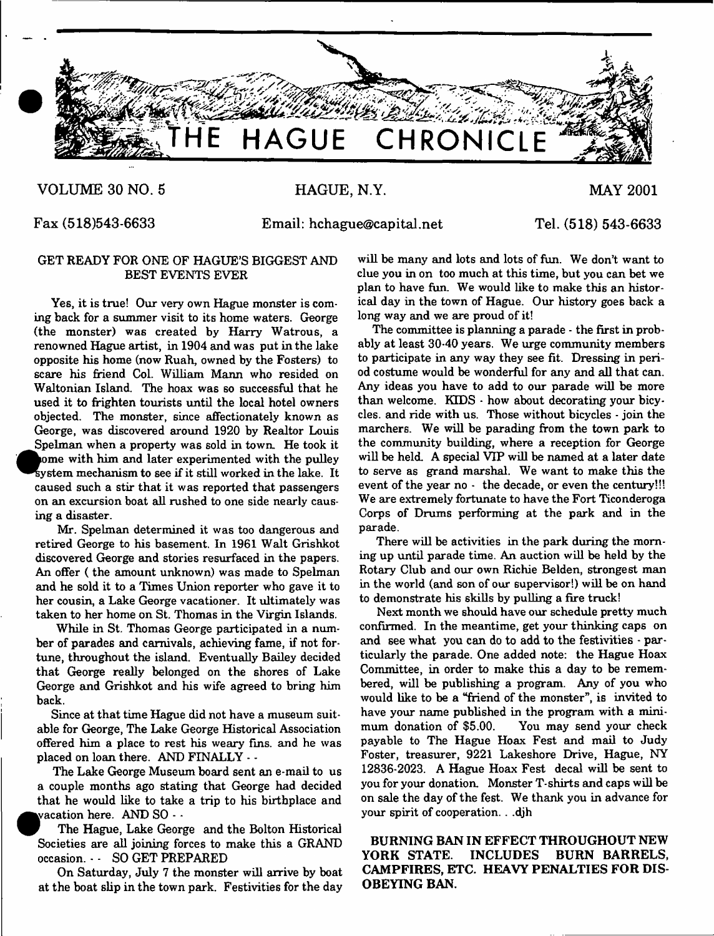

#### **VOLUME 30 NO. 5**

**HAGUE, N.Y.**

**MAY 2001**

**Fax (518)543-6633**

**Email: [hchague@capital.net](mailto:hchague@capital.net)**

**Tel. (518) 543-6633**

#### GET READY FOR ONE OF HAGUE'S BIGGEST AND BEST EVENTS EVER

Yes, it is true! Our very own Hague monster is coming back for a summer visit to its home waters. George (the monster) was created by Harry Watrous, a renowned Hague artist, in 1904 and was put in the lake opposite his home (now Ruah, owned by the Fosters) to scare his friend Col. William Mann who resided on Waltonian Island. The hoax was so successful that he used it to frighten tourists until the local hotel owners objected. The monster, since affectionately known as George, was discovered around 1920 by Realtor Louis Spelman when a property was sold in town. He took it ome with him and later experimented with the pulley system mechanism to see if it still worked in the lake. It caused such a stir that it was reported that passengers on an excursion boat all rushed to one side nearly causing a disaster.

Mr. Spelman determined it was too dangerous and retired George to his basement. In 1961 Walt Grishkot discovered George and stories resurfaced in the papers. An offer ( the amount unknown) was made to Spelman and he sold it to a Times Union reporter who gave it to her cousin, a Lake George vacationer. It ultimately was taken to her home on St. Thomas in the Virgin Islands.

While in St. Thomas George participated in a number of parades and carnivals, achieving fame, if not fortune, throughout the island. Eventually Bailey decided that George really belonged on the shores of Lake George and Grishkot and his wife agreed to bring him back.

Since at that time Hague did not have a museum suitable for George, The Lake George Historical Association offered him a place to rest his weary fins, and he was placed on loan there. AND FINALLY - -

The Lake George Museum board sent an e-mail to us a couple months ago stating that George had decided that he would like to take a trip to his birthplace and vacation here.  $\text{AND} \text{ SO}$  -  $\cdot$ 

*W* The Hague, Lake George and the Bolton Historical Societies are all joining forces to make this a GRAND occasion. - - SO GET PREPARED

On Saturday, July 7 the monster will arrive by boat at the boat slip in the town park. Festivities for the day

will be many and lots and lots of fun. We don't want to clue you in on too much at this time, but you can bet we plan to have fun. We would like to make this an historical day in the town of Hague. Our history goes back a long way and we are proud of it!

The committee is planning a parade - the first in probably at least 30.40 years. We urge community members to participate in any way they see fit. Dressing in period costume would be wonderful for any and all that can. Any ideas you have to add to our parade will be more than welcome. KIDS - how about decorating your bicycles. and ride with us. Those without bicycles - join the marchers. We will be parading from the town park to the community building, where a reception for George will be held. A special VIP will be named at a later date to serve as grand marshal. We want to make this the event of the year no - the decade, or even the century!!! We are extremely fortunate to have the Fort Ticonderoga Corps of Drums performing at the park and in the parade.

There will be activities in the park during the morning up until parade time. An auction will be held by the Rotary Club and our own Richie Belden, strongest man in the world (and son of our supervisor!) will be on hand to demonstrate his skills by pulling a fire truck!

Next month we should have our schedule pretty much confirmed. In the meantime, get your thinking caps on and see what you can do to add to the festivities - particularly the parade. One added note: the Hague Hoax Committee, in order to make this a day to be remembered, will be publishing a program. Any of you who would like to be a "friend of the monster", is invited to have your name published in the program with a minimum donation of \$5.00. You may send your check payable to The Hague Hoax Fest and mail to Judy Foster, treasurer, 9221 Lakeshore Drive, Hague, NY 12836-2023. A Hague Hoax Fest decal will be sent to you for your donation. Monster T-shirts and caps will be on sale the day of the fest. We thank you in advance for your spirit of cooperation. . .djh

BURNING BAN IN EFFECT THROUGHOUT NEW YORK STATE. INCLUDES BURN BARRELS, CAMPFIRES, ETC. HEAVY PENALTIES FOR DIS-OBEYING BAN.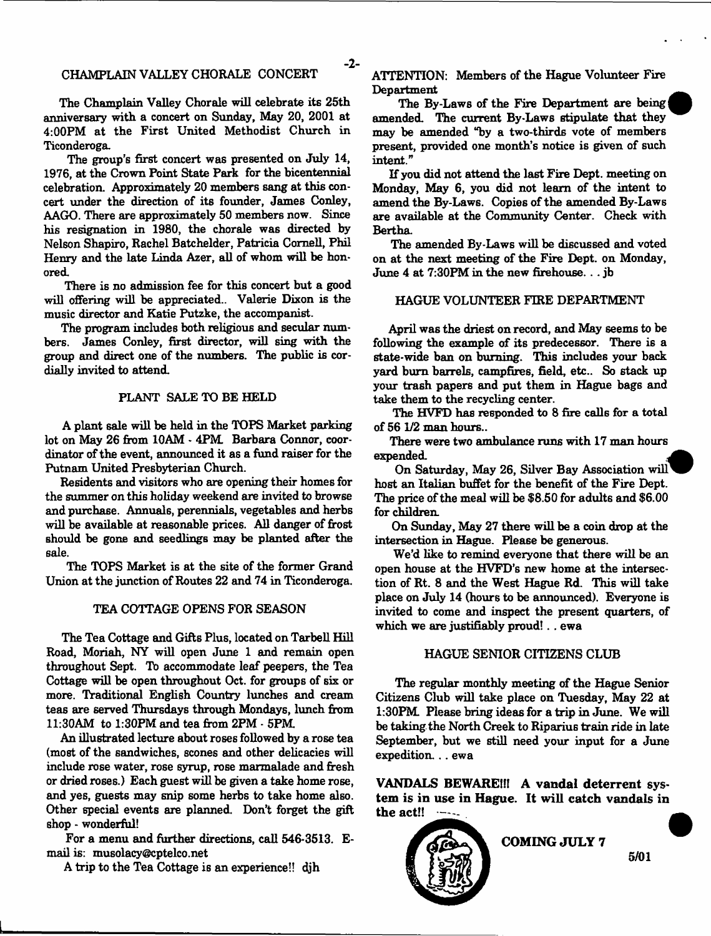#### CHAMPLAIN VALLEY CHORALE CONCERT

 $-2-$ 

The Champlain Valley Chorale will celebrate its 25th anniversary with a concert on Sunday, May 20, 2001 at 4:00PM at the First United Methodist Church in Ticonderoga.

The group's first concert was presented on July 14, 1976, at the Crown Point State Park for the bicentennial celebration. Approximately 20 members sang at this concert under the direction of its founder, James Conley, AAGO. There are approximately 50 members now. Since his resignation in 1980, the chorale was directed by Nelson Shapiro, Rachel Batchelder, Patricia Cornell, Phil Henry and the late Linda Azer, all of whom will be honored

There is no admission fee for this concert but a good will offering will be appreciated.. Valerie Dixon is the music director and Katie Futzke, the accompanist.

The program includes both religious and secular numbers. James Conley, first director, will sing with the group and direct one of the numbers. The public is cordially invited to attend

#### PLANT SALE TO BE HELD

A plant sale will be held in the TOPS Market parking lot on May 26 from 10AM - 4PM. Barbara Connor, coordinator of the event, announced it as a fund raiser for the Putnam United Presbyterian Church.

Residents and visitors who are opening their homes for the summer on this holiday weekend are invited to browse and purchase. Annuals, perennials, vegetables and herbs will be available at reasonable prices. All danger of frost should be gone and seedlings may be planted after the sale.

The TOPS Market is at the site of the former Grand Union at the junction of Routes 22 and 74 in Ticonderoga.

#### TEA COTTAGE OPENS FOR SEASON

The Tea Cottage and Gifts Plus, located on Tarbell Hill Road, Moriah, NY will open June 1 and remain open throughout Sept. Tb accommodate leaf peepers, the Tea Cottage will be open throughout Oct. for groups of six or more. Traditional English Country lunches and cream teas are served Thursdays through Mondays, lunch from 11:30AM to 1:30PM and tea from 2PM - 5PM

An illustrated lecture about roses followed by a rose tea (most of the sandwiches, scones and other delicacies will include rose water, rose syrup, rose marmalade and fresh or dried roses.) Each guest will be given a take home rose, and yes, guests may snip some herbs to take home also. Other special events are planned. Don't forget the gift shop - wonderful!

For a menu and further directions, call 546-3513. Email is: musolacy@cptelco.net

A trip to the Tea Cottage is an experience!! dih

ATTENTION: Members of the Hague Volunteer Fire Department

The By-Laws of the Fire Department are being amended. The current By-Laws stipulate that they may be amended "by a two-thirds vote of members present, provided one month's notice is given of such intent."

If you did not attend the last Fire Dept, meeting on Monday, May 6, you did not learn of the intent to amend the By-Laws. Copies of the amended By-Laws are available at the Community Center. Check with Bertha.

The amended By-Laws will be discussed and voted on at the next meeting of the Fire Dept, on Monday, June 4 at 7:30PM in the new firehouse. . . jb

#### HAGUE VOLUNTEER FIRE DEPARTMENT

April was the driest on record, and May seems to be following the example of its predecessor. There is a state-wide ban on burning. This includes your back yard burn barrels, campfires, field, etc.. So stack up your trash papers and put them in Hague bags and take them to the recycling center.

The HVFD has responded to 8 fire calls for a total of 56 1/2 man hours..

There were two ambulance runs with 17 man hours expended.

On Saturday, May 26, Silver Bay Association will host an Italian buffet for the benefit of the Fire Dept. The price of the meal will be \$8.50 for adults and \$6.00 for children.

On Sunday, May 27 there will be a coin drop at the intersection in Hague. Please be generous.

We'd like to remind everyone that there will be an open house at the HVFD's new home at the intersection of Rt. 8 and the West Hague Rd. This will take place on July 14 (hours to be announced). Everyone is invited to come and inspect the present quarters, of which we are justifiably proud!. . ewa

#### HAGUE SENIOR CITIZENS CLUB

The regular monthly meeting of the Hague Senior Citizens Club will take place on Tuesday, May 22 at 1:30PM Please bring ideas for a trip in June. We will be taking the North Creek to Riparius train ride in late September, but we still need your input for a June expedition... ewa

**VANDALS BEWAREIff A vandal deterrent system is in use in Hague. It will catch vandals in the act!!**

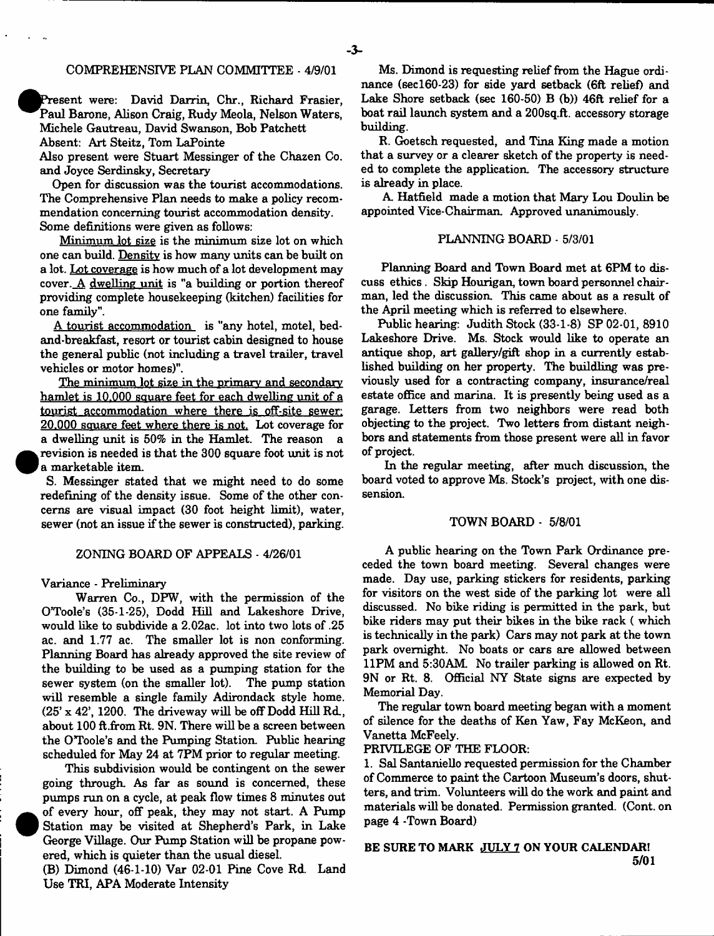#### COMPREHENSIVE PLAN COMMITTEE - 4/9/01

Present were: David Darrin, Chr., Richard Frasier, Paul Barone, Alison Craig, Rudy Meola, Nelson Waters, Michele Gautreau, David Swanson, Bob Patchett Absent: Art Steitz, Tom LaPointe

Also present were Stuart Messinger of the Chazen Co. and Joyce Serdinsky, Secretary

Open for discussion was the tourist accommodations. The Comprehensive Plan needs to make a policy recommendation concerning tourist accommodation density. Some definitions were given as follows:

Minimum lot size is the minimum size lot on which one can build. Density is how many units can be built on a lot. Lot coverage is how much of a lot development may cover. A dwelling unit is "a building or portion thereof providing complete housekeeping (kitchen) facilities for one family".

A tourist accommodation is "any hotel, motel, bedand-breakfast, resort or tourist cabin designed to house the general public (not including a travel trailer, travel vehicles or motor homes)".

The minimum lot size in the primary and secondary hamlet is 10.000 square feet for each dwelling unit of a tourist accommodation where there is off-site sewer: 20.000 square feet where there is not. Lot coverage for a dwelling unit is 50% in the Hamlet. The reason a revision is needed is that the 300 square foot unit is not a marketable item.

S. Messinger stated that we might need to do some redefining of the density issue. Some of the other concerns are visual impact (30 foot height limit), water, sewer (not an issue if the sewer is constructed), parking.

#### ZONING BOARD OF APPEALS - 4/26/01

Variance - Preliminary

**•** 

 $\bullet$ 

Warren Co., DFW, with the permission of the O'Toole's (35-1-25), Dodd Hill and Lakeshore Drive, would like to subdivide a 2.02ac. lot into two lots of .25 ac. and 1.77 ac. The smaller lot is non conforming. Planning Board has already approved the site review of the building to be used as a pumping station for the sewer system (on the smaller lot). The pump station will resemble a single family Adirondack style home. (25' x 42', 1200. The driveway will be off Dodd Hill Rd., about 100 ft.from Rt. 9N. There will be a screen between the O'Toole's and the Pumping Station. Public hearing scheduled for May 24 at 7PM prior to regular meeting.

This subdivision would be contingent on the sewer going through. As far as sound is concerned, these pumps run on a cycle, at peak flow times 8 minutes out of every hour, off peak, they may not start. A Pump Station may be visited at Shepherd's Park, in Lake George Village. Our Pump Station will be propane powered, which is quieter than the usual diesel.

(B) Dimond (46-1-10) Var 02-01 Pine Cove Rd. Land Use TRI, APA Moderate Intensity

Ms. Dimond is requesting relief from the Hague ordinance (secl60-23) for side yard setback (6ft relief) and Lake Shore setback (sec  $160-50$ ) B (b))  $46ft$  relief for a boat rail launch system and a 200sq.ft. accessory storage building.

R. Goetsch requested, and Tina King made a motion that a survey or a clearer sketch of the property is needed to complete the application. The accessory structure is already in place.

A Hatfield made a motion that Mary Lou Doulin be appointed Vice-Chairman. Approved unanimously.

#### PLANNING BOARD - 5/3/01

Planning Board and Town Board met at 6PM to discuss ethics. Skip Hourigan, town board personnel chairman, led the discussion. This came about as a result of the April meeting which is referred to elsewhere.

Public hearing: Judith Stock (33-1-8) SP 02-01, 8910 Lakeshore Drive. Ms. Stock would like to operate an antique shop, art gallery/gift shop in a currently established building on her property. The buildling was previously used for a contracting company, insurance/real estate office and marina. It is presently being used as a garage. Letters from two neighbors were read both objecting to the project. Two letters from distant neighbors and statements from those present were all in favor of project.

In the regular meeting, after much discussion, the board voted to approve Ms. Stock's project, with one dissension.

#### TOWN BOARD - 5/8/01

A public hearing on the Town Park Ordinance preceded the town board meeting. Several changes were made. Day use, parking stickers for residents, parking for visitors on the west side of the parking lot were all discussed. No bike riding is permitted in the park, but bike riders may put their bikes in the bike rack ( which is technically in the park) Cars may not park at the town park overnight. No boats or cars are allowed between 11PM and 5:30AM. No trailer parking is allowed on Rt. 9N or Rt. 8. Official NY State signs are expected by Memorial Day.

The regular town board meeting began with a moment of silence for the deaths of Ken Yaw, Fay McKeon, and Vanetta McFeely.

PRIVILEGE OF THE FLOOR:

1. Sal Santaniello requested permission for the Chamber of Commerce to paint the Cartoon Museum's doors, shutters, and trim. Volunteers will do the work and paint and materials will be donated. Permission granted. (Cont. on page 4 -Town Board)

#### BE SURE TO MARK JULY 7 ON YOUR CALENDAR! 5/01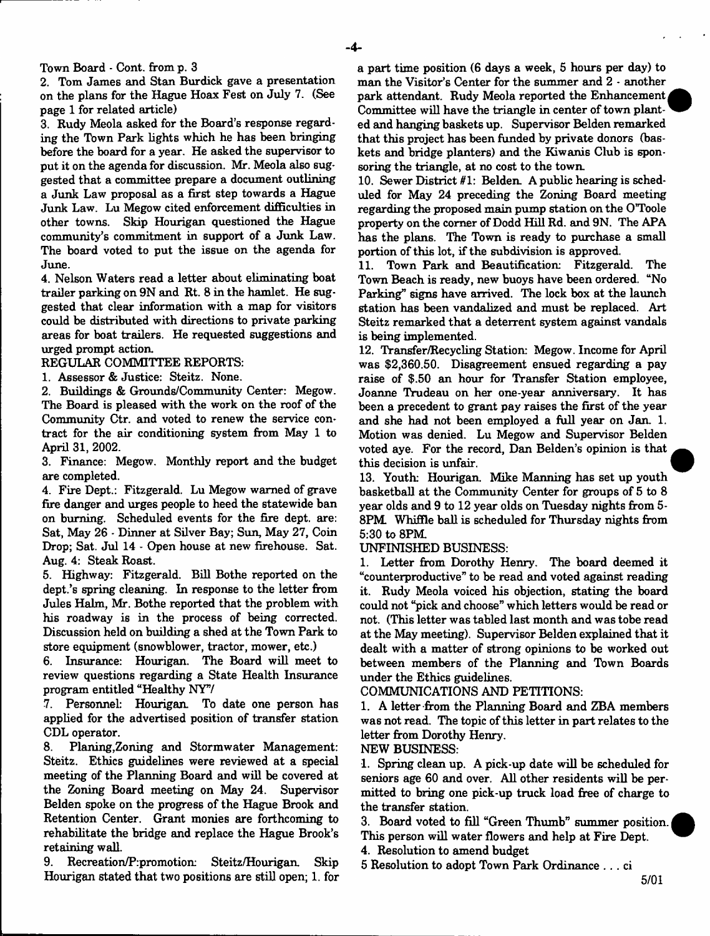Town Board - Cont. from p. 3

2. Tom James and Stan Burdick gave a presentation on the plans for the Hague Hoax Fest on July 7. (See page 1 for related article)

3. Rudy Meola asked for the Board's response regarding the Town Park lights which he has been bringing before the board for a year. He asked the supervisor to put it on the agenda for discussion. Mr. Meola also suggested that a committee prepare a document outlining a Junk Law proposal as a first step towards a Hague Junk Law. Lu Megow cited enforcement difficulties in other towns. Skip Hourigan questioned the Hague community's commitment in support of a Junk Law. The board voted to put the issue on the agenda for June.

4. Nelson Waters read a letter about eliminating boat trailer parking on  $9N$  and  $Rt$ .  $8$  in the hamlet. He suggested that clear information with a map for visitors could be distributed with directions to private parking areas for boat trailers. He requested suggestions and urged prompt action.

#### REGULAR COMMITTEE REPORTS:

1. Assessor & Justice: Steitz. None.

2. Buildings & Grounds/Community Center: Megow. The Board is pleased with the work on the roof of the Community Ctr. and voted to renew the service contract for the air conditioning system from May 1 to April 31, 2002.

3. Finance: Megow. Monthly report and the budget are completed.

4. Fire Dept.: Fitzgerald. Lu Megow warned of grave fire danger and urges people to heed the statewide ban on burning. Scheduled events for the fire dept, are: Sat, May 26 - Dinner at Silver Bay; Sun, May 27, Coin Drop; Sat. Jul 14 - Open house at new firehouse. Sat. Aug. 4: Steak Roast.

5. Highway: Fitzgerald. Bill Bothe reported on the dept.'s spring cleaning. In response to the letter from Jules Halm, Mr. Bothe reported that the problem with his roadway is in the process of being corrected. Discussion held on building a shed at the Town Park to store equipment (snowblower, tractor, mower, etc.)

6. Insurance: Hourigan. The Board will meet to review questions regarding a State Health Insurance program entitled "Healthy NY"/

7. Personnel: Hourigan To date one person has applied for the advertised position of transfer station CDL operator.

8. Planing,Zoning and Stormwater Management: Steitz. Ethics guidelines were reviewed at a special meeting of the Planning Board and will be covered at the Zoning Board meeting on May 24. Supervisor Belden spoke on the progress of the Hague Brook and Retention Center. Grant monies are forthcoming to rehabilitate the bridge and replace the Hague Brook's retaining wall.

9. Recreation/P:promotion: Steitz/Hourigan. Skip Hourigan stated that two positions are still open; 1. for

a part time position (6 days a week, 5 hours per day) to man the Visitor's Center for the summer and 2 - another park attendant. Rudy Meola reported the Enhancement Committee will have the triangle in center of town planted and hanging baskets up. Supervisor Belden remarked that this project has been funded by private donors (baskets and bridge planters) and the Kiwanis Club is sponsoring the triangle, at no cost to the town.

10. Sewer District #1: Belden. A public hearing is scheduled for May 24 preceding the Zoning Board meeting regarding the proposed main pump station on the OToole property on the corner of Dodd Hill Rd. and 9N. The APA has the plans. The Town is ready to purchase a small portion of this lot, if the subdivision is approved.

11. Town Park and Beautification; Fitzgerald. The Town Beach is ready, new buoys have been ordered. "No Parking" signs have arrived. The lock box at the launch station has been vandalized and must be replaced. Art Steitz remarked that a deterrent system against vandals is being implemented.

12. Transfer/Recycling Station: Megow. Income for April was \$2,360.50. Disagreement ensued regarding a pay raise of \$.50 an hour for Transfer Station employee, Joanne Trudeau on her one-year anniversary. It has been a precedent to grant pay raises the first of the year and she had not been employed a full year on Jan. 1. Motion was denied. Lu Megow and Supervisor Belden voted aye. For the record, Dan Belden's opinion is that this decision is unfair.

13. Youth: Hourigan. Mike Manning has set up youth basketball at the Community Center for groups of 5 to 8 year olds and 9 to 12 year olds on Tuesday nights from 5- 8PM. Whiffle ball is scheduled for Thursday nights from 5:30 to 8PM

#### UNFINISHED BUSINESS:

1. Letter from Dorothy Henry. The board deemed it "counterproductive" to be read and voted against reading it. Rudy Meola voiced his objection, stating the board could not "pick and choose" which letters would be read or not. (This letter was tabled last month and was tobe read at the May meeting). Supervisor Belden explained that it dealt with a matter of strong opinions to be worked out between members of the Planning and Town Boards under the Ethics guidelines.

COMMUNICATIONS AND PETITIONS:

1. A letter from the Planning Board and ZBA members was not read. The topic of this letter in part relates to the letter from Dorothy Henry.

NEW BUSINESS:

1. Spring clean up. A pick-up date will be scheduled for seniors age 60 and over. All other residents will be permitted to bring one pick-up truck load free of charge to the transfer station.

3. Board voted to fill "Green Thumb" summer position. This person will water flowers and help at Fire Dept.

4. Resolution to amend budget

5 Resolution to adopt Town Park Ordinance . . . ci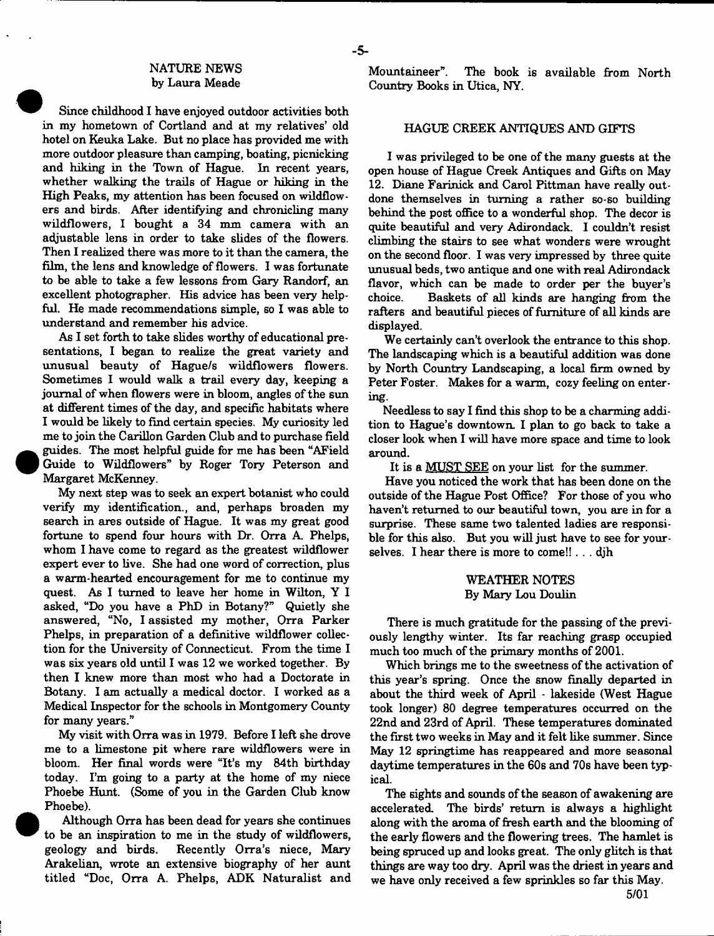#### NATURE NEWS by Laura Meade

Since childhood I have enjoyed outdoor activities both in my hometown of Cortland and at my relatives' old hotel on Keuka Lake. But no place has provided me with more outdoor pleasure than camping, boating, picnicking and hiking in the Town of Hague. In recent years, whether walking the trails of Hague or hiking in the High Peaks, my attention has been focused on wildflowers and birds. After identifying and chronicling many wildflowers, I bought a 34 mm camera with an adjustable lens in order to take slides of the flowers. Then I realized there was more to it than the camera, the film, the lens and knowledge of flowers. I was fortunate to be able to take a few lessons from Gary Randorf, an excellent photographer. His advice has been very helpful. He made recommendations simple, so I was able to understand and remember his advice.

As I set forth to take slides worthy of educational presentations, I began to realize the great variety and unusual beauty of Hague/s wildflowers flowers. Sometimes I would walk a trail every day, keeping a journal of when flowers were in bloom, angles of the sun at different times of the day, and specific habitats where I would be likely to find certain species. My curiosity led me to join the Carillon Garden Club and to purchase field guides. The most helpful guide for me has been "AField Guide to Wildflowers" by Roger Tory Peterson and Margaret McKenney.

My next step was to seek an expert botanist who could verify my identification., and, perhaps broaden my search in ares outside of Hague. It was my great good fortune to spend four hours with Dr. Orra A. Phelps, whom I have come to regard as the greatest wildflower expert ever to live. She had one word of correction, plus a warm-hearted encouragement for me to continue my quest. As I turned to leave her home in Wilton, Y I asked, "Do you have a PhD in Botany?" Quietly she answered, "No, I assisted my mother, Orra Parker Phelps, in preparation of a definitive wildflower collection for the University of Connecticut. From the time I was six years old until I was 12 we worked together. By then I knew more than most who had a Doctorate in Botany. I am actually a medical doctor. I worked as a Medical Inspector for the schools in Montgomery County for many years."

My visit with Orra was in 1979. Before I left she drove me to a limestone pit where rare wildflowers were in bloom. Her final words were "It's my 84th birthday today. I'm going to a party at the home of my niece Phoebe Hunt. (Some of you in the Garden Club know Phoebe).

Although Orra has been dead for years she continues to be an inspiration to me in the study of wildflowers, geology and birds. Recently Orra's niece, Mary Arakelian, wrote an extensive biography of her aunt titled "Doc, Orra A. Phelps, ADK Naturalist and Mountaineer". The book is available from North Country Books in Utica, NY.

#### HAGUE CREEK ANTIQUES AND GIFTS

I was privileged to be one of the many guests at the open house of Hague Creek Antiques and Gifts on May 12. Diane Farinick and Carol Pittman have really outdone themselves in turning a rather so-so building behind the post office to a wonderful shop. The decor is quite beautiful and very Adirondack. I couldn't resist climbing the stairs to see what wonders were wrought on the second floor. I was very impressed by three quite unusual beds, two antique and one with real Adirondack flavor, which can be made to order per the buyer's choice. Baskets of all kinds are hanging from the rafters and beautiful pieces of furniture of all kinds are displayed.

We certainly can't overlook the entrance to this shop. The landscaping which is a beautiful addition was done by North Country Landscaping, a local firm owned by Peter Foster. Makes for a warm, cozy feeling on entering.

Needless to say I find this shop to be a charming addition to Hague's downtown. I plan to go back to take a closer look when I will have more space and time to look around.

It is a MUST SEE on your list for the summer.

Have you noticed the work that has been done on the outside of the Hague Post Office? For those of you who haven't returned to our beautiful town, you are in for a surprise. These same two talented ladies are responsible for this also. But you will just have to see for yourselves. I hear there is more to come!!  $\ldots$  djh

#### WEATHER NOTES By Mary Lou Doulin

There is much gratitude for the passing of the previously lengthy winter. Its far reaching grasp occupied much too much of the primary months of 2001.

Which brings me to the sweetness of the activation of this year's spring. Once the snow finally departed in about the third week of April - lakeside (West Hague took longer) 80 degree temperatures occurred on the 22nd and 23rd of April. These temperatures dominated the first two weeks in May and it felt like summer. Since May 12 springtime has reappeared and more seasonal daytime temperatures in the 60s and 70s have been typical.

The sights and sounds of the season of awakening are accelerated. The birds' return is always a highlight along with the aroma of fresh earth and the blooming of the early flowers and the flowering trees. The hamlet is being spruced up and looks great. The only glitch is that things are way too dry. April was the driest in years and we have only received a few sprinkles so far this May.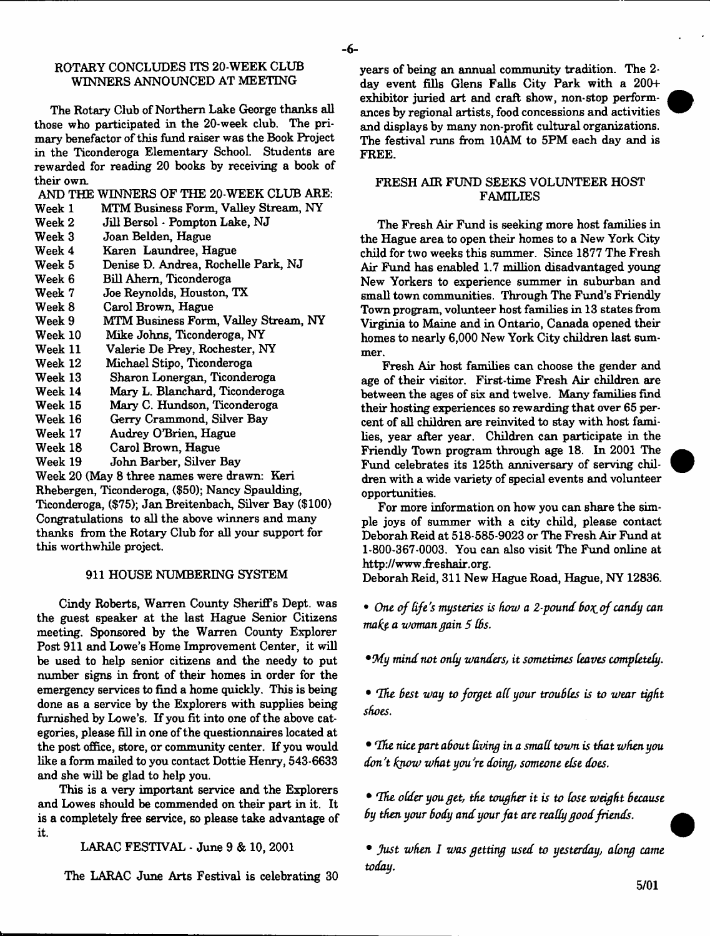#### ROTARY CONCLUDES ITS 20-WEEK CLUB WINNERS ANNOUNCED AT MEETING

The Rotary Club of Northern Lake George thanks all those who participated in the 20-week club. The primary benefactor of this fund raiser was the Book Project in the Ticonderoga Elementary School. Students are rewarded for reading 20 books by receiving a book of their own.

AND THE WINNERS OF THE 20-WEEK CLUB ARE:<br>Week 1 MTM Business Form, Valley Stream, NY

- Week 1 MTM Business Form, Valley Stream, NY<br>Week 2 Jill Bersol Pompton Lake, NJ
- Jill Bersol Pompton Lake, NJ
- Week 3 Joan Belden, Hague
- 
- Week 4 Karen Laundree, Hague Week 5 Denise D. Andrea, Rochelle Park, NJ
- 
- Week 6 Bill Ahem, Ticonderoga Joe Reynolds, Houston, TX
- Week 8 Carol Brown, Hague<br>Week 9 MTM Business Form
- MTM Business Form, Valley Stream, NY
- Week 10 Mike Johns, Ticonderoga, NY<br>Week 11 Valerie De Prev. Rochester. N
- Week 11 Valerie De Prey, Rochester, NY
- Week 12 Michael Stipo, Ticonderoga
- Sharon Lonergan, Ticonderoga
- Week 14 Mary L. Blanchard, Ticonderoga
- Week 15 Mary C. Hundson, Ticonderoga<br>Week 16 Gerry Crammond, Silver Bay
- Week 16 Gerry Crammond, Silver Bay<br>Week 17 Audrey O'Brien, Hague
- Audrey O'Brien, Hague
- Week 18 Carol Brown, Hague
- Week 19 John Barber, Silver Bay

Week 20 (May 8 three names were drawn: Keri Rhebergen, Ticonderoga, (\$50); Nancy Spaulding, Ticonderoga, (\$75); Jan Breitenbach, Silver Bay (\$100) Congratulations to all the above winners and many thanks from the Rotary Club for all your support for this worthwhile project.

#### 911 HOUSE NUMBERING SYSTEM

Cindy Roberts, Warren County Sheriffs Dept, was the guest speaker at the last Hague Senior Citizens meeting. Sponsored by the Warren County Explorer Post 911 and Lowe's Home Improvement Center, it will be used to help senior citizens and the needy to put number signs in front of their homes in order for the emergency services to find a home quickly. This is being done as a service by the Explorers with supplies being furnished by Lowe's. If you fit into one of the above categories, please fill in one of the questionnaires located at the post office, store, or community center. If you would like a form mailed to you contact Dottie Henry, 543-6633 and she will be glad to help you.

This is a very important service and the Explorers and Lowes should be commended on their part in it. It is a completely free service, so please take advantage of it.

LARAC FESTIVAL - June 9 & 10, 2001

The LARAC June Arts Festival is celebrating 30

years of being an annual community tradition. The 2 day event fills Glens Falls City Park with a 200+ exhibitor juried art and craft show, non-stop performances by regional artists, food concessions and activities and displays by many non-profit cultural organizations. The festival runs from 10AM to 5PM each day and is FREE.

- 6-

#### FRESH AIR FUND SEEKS VOLUNTEER HOST FAMILIES

The Fresh Air Fund is seeking more host families in the Hague area to open their homes to a New York City child for two weeks this summer. Since 1877 The Fresh Air Fund has enabled 1.7 million disadvantaged young New Yorkers to experience summer in suburban and small town communities. Through The Fund's Friendly Town program, volunteer host families in 13 states from Virginia to Maine and in Ontario, Canada opened their homes to nearly 6,000 New York City children last summer.

Fresh Air host families can choose the gender and age of their visitor. First-time Fresh Air children are between the ages of six and twelve. Many families find their hosting experiences so rewarding that over 65 percent of all children are reinvited to stay with host families, year after year. Children can participate in the Friendly Town program through age 18. In 2001 The Fund celebrates its 125th anniversary of serving children with a wide variety of special events and volunteer opportunities.

For more information on how you can share the simple joys of summer with a city child, please contact Deborah Reid at 518-585-9023 or The Fresh Air Fund at 1-800-367-0003. You can also visit The Fund online at [http://www.freshair.org.](http://www.freshair.org)

Deborah Reid, 311 New Hague Road, Hague, NY 12836.

• One of life's mysteries is how a 2-pound box of candy can *mafe a woman gain 5 (6s.*

*•9dy mind not only wanders, it sometimes (eaves completely.*

• The best way to forget all your troubles is to wear tight *shoes.*

• *rIhe nice part about Uving in a small town is that when you don't know what you're doing, someone else does.*

• *(Ihe older you get, the tougher it is to lose weight because* by then your body and your fat are really good friends.

• *Just when I was getting used to yesterday, along came today.*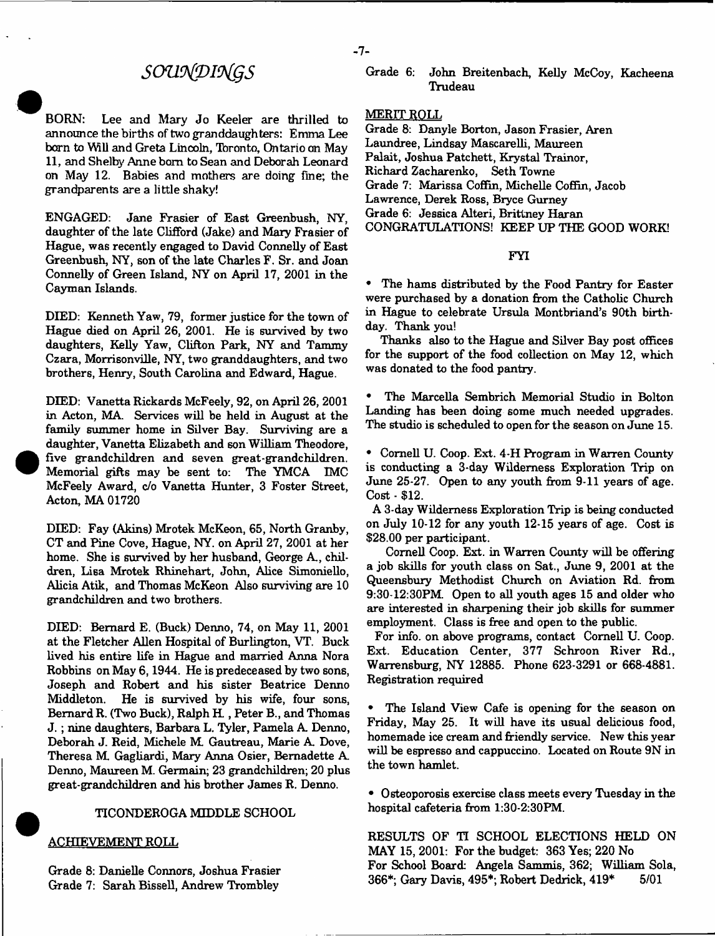## *SOU9£DI9igS*

BORN: Lee and Mary Jo Keeler are thrilled to announce the births of two granddaughters: Emma Lee barn to Will and Greta Lincoln, Toronto, Ontario an May 11, and Shelby Anne bom to Sean and Deborah Leonard on May 12. Babies and mothers are doing fine; the grandparents are a little shaky!

ENGAGED: Jane Frasier of East Greenbush, NY, daughter of the late Clifford (Jake) and Mary Frasier of Hague, was recently engaged to David Connelly of East Greenbush, NY, son of the late Charles F. Sr. and Joan Connelly of Green Island, NY on April 17, 2001 in the Cayman Islands.

DIED: Kenneth Yaw, 79, former justice for the town of Hague died on April 26, 2001. He is survived by two daughters, Kelly Yaw, Clifton Park, NY and Tammy Czara, Morrisonville, NY, two granddaughters, and two brothers, Henry, South Carolina and Edward, Hague.

DIED: Vanetta Rickards McFeely, 92, on April 26, 2001 in Acton, MA. Services will be held in August at the family summer home in Silver Bay. Surviving are a daughter, Vanetta Elizabeth and son William Theodore, five grandchildren and seven great-grandchildren. Memorial gifts may be sent to: The YMCA IMC McFeely Award, c/o Vanetta Hunter, 3 Foster Street, Acton, MA 01720

DIED: Fay (Akins) Mrotek McKeon, 65, North Granby, CT and Pine Cove, Hague, NY. on April 27, 2001 at her home. She is survived by her husband, George A., children, Lisa Mrotek Rhinehart, John, Alice Simoniello, Alicia Atik, and Thomas McKeon Also surviving are 10 grandchildren and two brothers.

DEED: Bernard E. (Buck) Denno, 74, on May 11, 2001 at the Fletcher Allen Hospital of Burlington, VT. Buck lived his entire life in Hague and married Anna Nora Robbins on May 6,1944. He is predeceased by two sons, Joseph and Robert and his sister Beatrice Denno Middleton. He is survived by his wife, four sons, Bernard R. (Two Buck), Ralph H ., Peter B., and Thomas J. ; nine daughters, Barbara L. Tyler, Pamela A Denno, Deborah J. Reid, Michele M Gautreau, Marie A Dove, Theresa M Gagliardi, Mary Anna Osier, Bernadette A Denno, Maureen M. Germain; 23 grandchildren; 20 plus great-grandchildren and his brother James R. Denno.

#### TICONDEROGA MIDDLE SCHOOL

#### ACHIEVEMENT ROLL

Grade 8: Danielle Connors, Joshua Frasier Grade 7: Sarah Bissell, Andrew Trombley

MERIT ROLL

Grade 8: Danyle Borton, Jason Frasier, Aren Laundree, Lindsay Mascarelli, Maureen Falait, Joshua Patchett, Krystal Trainor, Richard Zacharenko, Seth Towne Grade 7: Marissa Coffin, Michelle Coffin, Jacob Lawrence, Derek Ross, Bryce Gurney Grade 6: Jessica Alteri, Brittney Haran CONGRATULATIONS! KEEP UP THE GOOD WORK!

FYI

• The hams distributed by the Food Pantry for Easter were purchased by a donation from the Catholic Church in Hague to celebrate Ursula Montbriand's 90th birthday. Thank you!

Thanks also to the Hague and Silver Bay post offices for the support of the food collection on May 12, which was donated to the food pantry.

• The Marcella Sembrich Memorial Studio in Bolton Landing has been doing some much needed upgrades. The studio is scheduled to open for the season on June 15.

• Cornell U. Coop. Ext. 4-H Program in Warren County is conducting a 3-day Wilderness Exploration Trip on June 25-27. Open to any youth from 9-11 years of age. Cost - \$12.

A 3-day Wilderness Exploration Trip is being conducted on July  $10-12$  for any youth  $12-15$  years of age. Cost is \$28.00 per participant.

Cornell Coop. Ext. in Warren County will be offering a job skills for youth class on Sat., June 9, 2001 at the Queensbury Methodist Church on Aviation Rd. from 9:30-12:30PM. Open to all youth ages 15 and older who are interested in sharpening their job skills for summer employment. Class is free and open to the public.

For info, on above programs, contact Cornell U. Coop. Ext. Education Center, 377 Schroon River Rd., Warrensburg, NY 12885. Phone 623-3291 or 668-4881. Registration required

The Island View Cafe is opening for the season on Friday, May 25. It will have its usual delicious food, homemade ice cream and friendly service. New this year will be espresso and cappuccino. Located on Route 9N in the town hamlet.

• Osteoporosis exercise class meets every Tuesday in the hospital cafeteria from 1:30-2:30FM.

RESULTS OF *Tl* SCHOOL ELECTIONS HELD ON MAY 15, 2001: For the budget: 363 Yes; 220 No For School Board: Angela Sammis, 362; William Sola, 366\*; Gary Davis, 495\*; Robert Dedrick, 419\* 5/01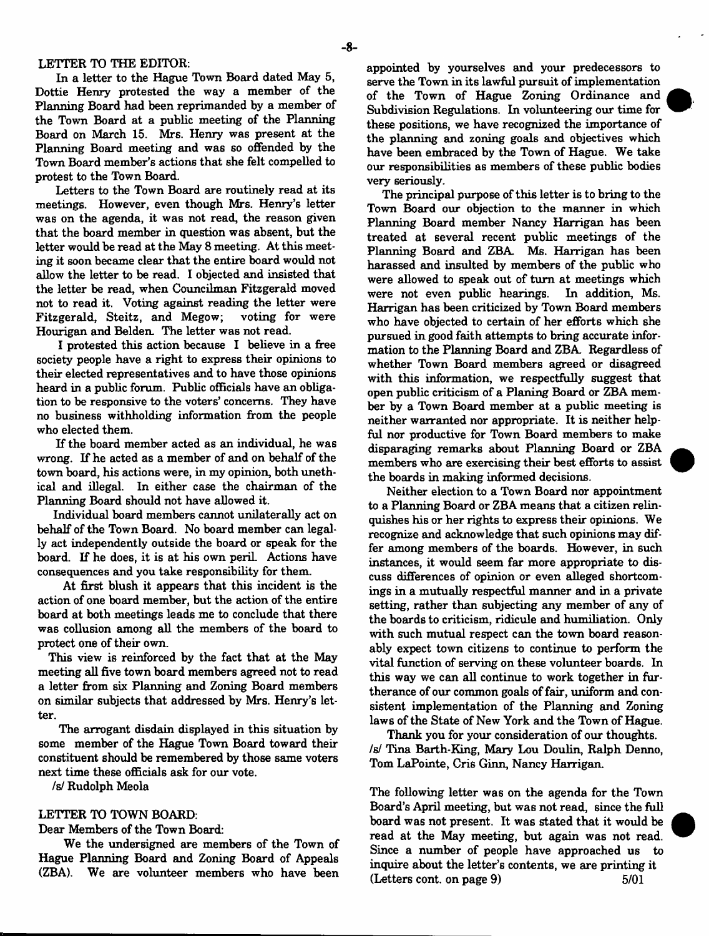#### LETTER TO THE EDITOR:

In a letter to the Hague Town Board dated May 5, Dottie Henry protested the way a member of the Planning Board had been reprimanded by a member of the Town Board at a public meeting of the Planning Board on March 15. Mrs. Henry was present at the Planning Board meeting and was so offended by the Town Board member's actions that she felt compelled to protest to the Town Board.

Letters to the Town Board are routinely read at its meetings. However, even though Mrs. Henry's letter was on the agenda, it was not read, the reason given that the board member in question was absent, but the letter would be read at the May 8 meeting. At this meeting it soon became clear that the entire board would not allow the letter to be read. I objected and insisted that the letter be read, when Councilman Fitzgerald moved not to read it. Voting against reading the letter were Fitzgerald, Steitz, and Megow; voting for were Hourigan and Belden. The letter was not read.

I protested this action because I believe in a free society people have a right to express their opinions to their elected representatives and to have those opinions heard in a public forum. Public officials have an obligation to be responsive to the voters' concerns. They have no business withholding information from the people who elected them.

If the board member acted as an individual, he was wrong. If he acted as a member of and on behalf of the town board, his actions were, in my opinion, both unethical and illegal. In either case the chairman of the Planning Board should not have allowed it.

Individual board members cannot unilaterally act on behalf of the Town Board. No board member can legally act independently outside the board or speak for the board. If he does, it is at his own peril. Actions have consequences and you take responsibility for them.

At first blush it appears that this incident is the action of one board member, but the action of the entire board at both meetings leads me to conclude that there was collusion among all the members of the board to protect one of their own.

This view is reinforced by the fact that at the May meeting all five town board members agreed not to read a letter from six Planning and Zoning Board members on similar subjects that addressed by Mrs. Henry's letter.

The arrogant disdain displayed in this situation by some member of the Hague Town Board toward their constituent should be remembered by those same voters next time these officials ask for our vote.

/s/ Rudolph Meola

#### LETTER TO TOWN BOARD:

Dear Members of the Town Board:

We the undersigned are members of the Town of Hague Planning Board and Zoning Board of Appeals (ZBA). We are volunteer members who have been

appointed by yourselves and your predecessors to serve the Town in its lawful pursuit of implementation of the Town of Hague Zoning Ordinance and Subdivision Regulations. In volunteering our time for these positions, we have recognized the importance of the planning and zoning goals and objectives which have been embraced by the Town of Hague. We take our responsibilities as members of these public bodies very seriously.

The principal purpose of this letter is to bring to the Town Board our objection to the manner in which Planning Board member Nancy Harrigan has been treated at several recent public meetings of the Planning Board and ZBA. Ms. Harrigan has been harassed and insulted by members of the public who were allowed to speak out of turn at meetings which were not even public hearings. In addition, Ms. Harrigan has been criticized by Town Board members who have objected to certain of her efforts which she pursued in good faith attempts to bring accurate information to the Planning Board and ZBA. Regardless of whether Town Board members agreed or disagreed with this information, we respectfully suggest that open public criticism of a Planing Board or ZBA member by a Town Board member at a public meeting is neither warranted nor appropriate. It is neither helpful nor productive for Town Board members to make disparaging remarks about Planning Board or ZBA members who are exercising their best efforts to assist the boards in making informed decisions.

Neither election to a Town Board nor appointment to a Planning Board or ZBA means that a citizen relinquishes his or her rights to express their opinions. We recognize and acknowledge that such opinions may differ among members of the boards. However, in such instances, it would seem far more appropriate to discuss differences of opinion or even alleged shortcomings in a mutually respectful manner and in a private setting, rather than subjecting any member of any of the boards to criticism, ridicule and humiliation. Only with such mutual respect can the town board reasonably expect town citizens to continue to perform the vital function of serving on these volunteer boards. In this way we can all continue to work together in furtherance of our common goals of fair, uniform and consistent implementation of the Planning and Zoning laws of the State of New York and the Town of Hague.

Thank you for your consideration of our thoughts, /s/ Tina Barth-King, Mary Lou Doulin, Ralph Denno, Tom LaPointe, Cris Ginn, Nancy Harrigan.

The following letter was on the agenda for the Town Board's April meeting, but was not read, since the full board was not present. It was stated that it would be read at the May meeting, but again was not read. Since a number of people have approached us to inquire about the letter's contents, we are printing it  $( \text{ Letters cont. on page 9})$   $5/01$ 

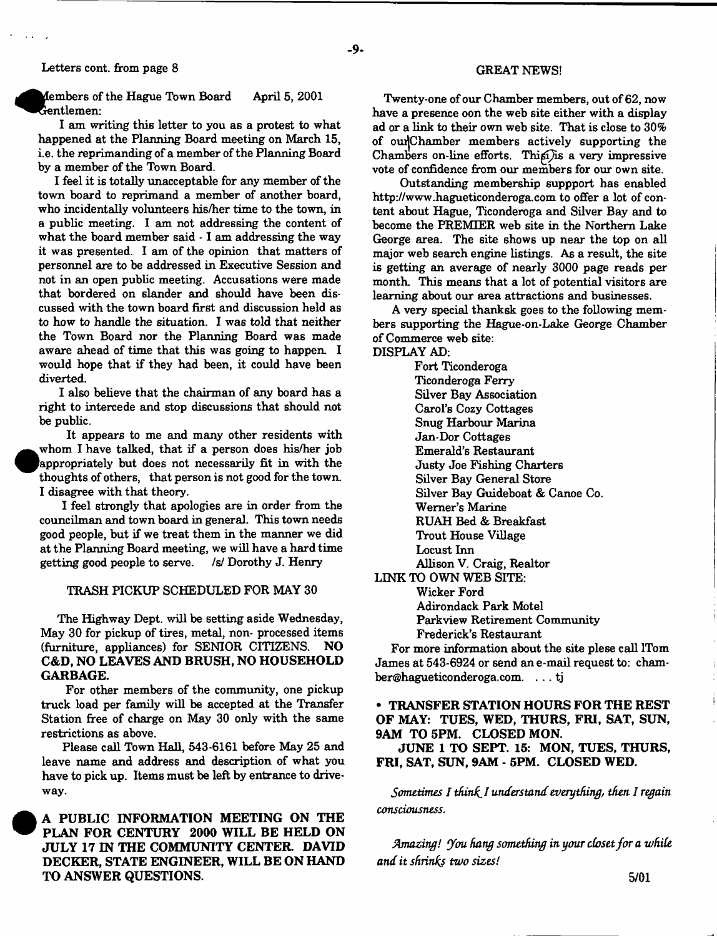**•** 

<sup>•</sup>

embers of the Hague Town Board April 5, 2001 Gentlemen:

I am writing this letter to you as a protest to what happened at the Planning Board meeting on March 15, i.e. the reprimanding of a member of the Planning Board by a member of the Town Board.

I feel it is totally unacceptable for any member of the town board to reprimand a member of another board, who incidentally volunteers his/her time to the town, in a public meeting. I am not addressing the content of what the board member said - 1 am addressing the way it was presented. I am of the opinion that matters of personnel are to be addressed in Executive Session and not in an open public meeting. Accusations were made that bordered on slander and should have been discussed with the town board first and discussion held as to how to handle the situation. I was told that neither the Town Board nor the Planning Board was made aware ahead of time that this was going to happen. I would hope that if they had been, it could have been diverted.

I also believe that the chairman of any board has a right to intercede and stop discussions that should not be public.

It appears to me and many other residents with whom I have talked, that if a person does his/her job appropriately but does not necessarily fit in with the thoughts of others, that person is not good for the town. I disagree with that theory.

I feel strongly that apologies are in order from the councilman and town board in general. This town needs good people, but if we treat them in the manner we did at the Planning Board meeting, we will have a hard time getting good people to serve. /s/ Dorothy J. Henry

#### TRASH PICKUP SCHEDULED FOR MAY 30

The Highway Dept, will be setting aside Wednesday, May 30 for pickup of tires, metal, non- processed items (furniture, appliances) for SENIOR CITIZENS. NO C&D, NO LEAVES AND BRUSH, NO HOUSEHOLD GARBAGE.

For other members of the community, one pickup truck load per family will be accepted at the Transfer Station free of charge on May 30 only with the same restrictions as above.

Please call Town Hall, 543-6161 before May 25 and leave name and address and description of what you have to pick up. Items must be left by entrance to driveway.

- **9** -

#### GREAT NEWS!

Twenty-one of our Chamber members, out of 62, now have a presence oon the web site either with a display ad or a link to their own web site. That is close to 30% of omjChamber members actively supporting the Chambers on-line efforts. Thisi) is a very impressive vote of confidence from our members for our own site.

Outstanding membership suppport has enabled <http://www.hagueticonderoga.com> to offer a lot of content about Hague, Ticonderoga and Silver Bay and to become the PREMIER web site in the Northern Lake George area. The site shows up near the top on all major web search engine listings. As a result, the site is getting an average of nearly 3000 page reads per month. This means that a lot of potential visitors are learning about our area attractions and businesses.

A very special thanksk goes to the following members supporting the Hague-on-Lake George Chamber of Commerce web site:

DISPLAY AD:

Fort Ticonderoga Ticonderoga Ferry Silver Bay Association Carol's Cozy Cottages Snug Harbour Marina Jan-Dor Cottages Emerald's Restaurant Justy Joe Fishing Charters Silver Bay General Store Silver Bay Guideboat & Canoe Co. Werner's Marine RUAH Bed & Breakfast Trout House Village Locust Inn Allison V. Craig, Realtor LINK TO OWN WEB SITE: Wicker Ford

Adirondack Park Motel Parkview Retirement Community Frederick's Restaurant

For more information about the site plese call ITom James at 543-6924 or send an e-mail request to: cham[ber@hagueticonderoga.com](mailto:ber@hagueticonderoga.com). . .. tj

#### • TRANSFER STATION HOURS FOR THE REST OF MAY: TUES, WED, THURS, FRI, SAT, SUN, 9AM TO 5PM. CLOSED MON.

JUNE 1 TO SEPT. 15: MON, TUES, THURS, FRI, SAT, SUN, 9AM - 5PM. CLOSED WED.

*Sometimes I thirds I understand everything, then I regain consciousness*.

*Amazing! you hang something in your cbset/or a while and it shrinks two sizes!*

 A PUBLIC INFORMATION MEETING ON THE PLAN FOR CENTURY 2000 WILL BE HELD ON JULY 17 IN THE COMMUNITY CENTER DAVID DECKER, STATE ENGINEER, WILL BE ON HAND TO ANSWER QUESTIONS.